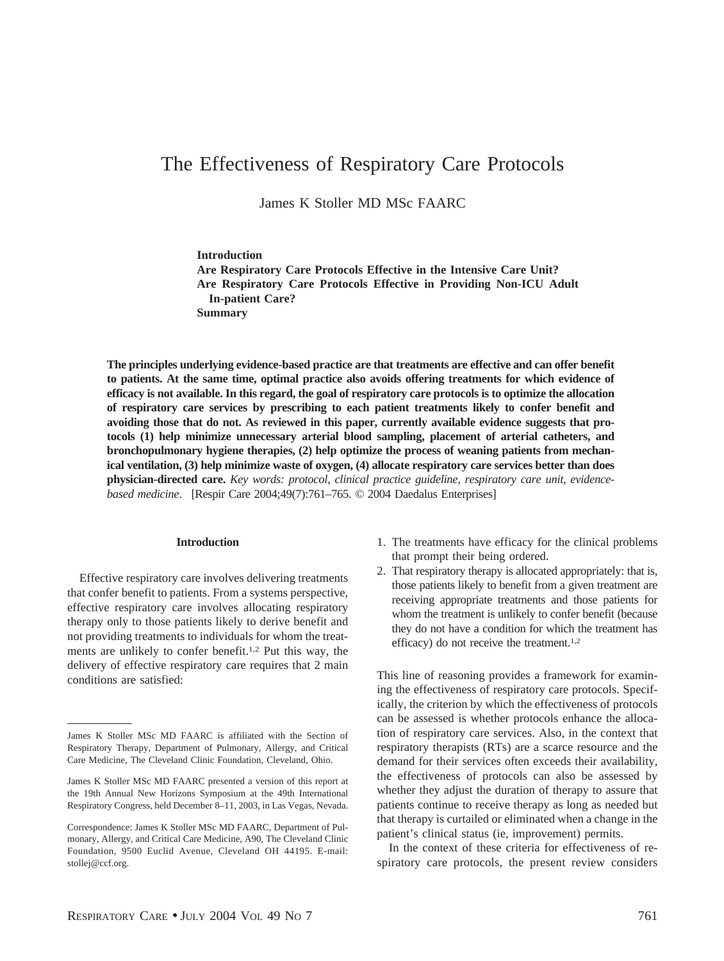# The Effectiveness of Respiratory Care Protocols

James K Stoller MD MSc FAARC

**Introduction**

**Are Respiratory Care Protocols Effective in the Intensive Care Unit? Are Respiratory Care Protocols Effective in Providing Non-ICU Adult In-patient Care? Summary**

**The principles underlying evidence-based practice are that treatments are effective and can offer benefit to patients. At the same time, optimal practice also avoids offering treatments for which evidence of efficacy is not available. In this regard, the goal of respiratory care protocols is to optimize the allocation of respiratory care services by prescribing to each patient treatments likely to confer benefit and avoiding those that do not. As reviewed in this paper, currently available evidence suggests that protocols (1) help minimize unnecessary arterial blood sampling, placement of arterial catheters, and bronchopulmonary hygiene therapies, (2) help optimize the process of weaning patients from mechanical ventilation, (3) help minimize waste of oxygen, (4) allocate respiratory care services better than does physician-directed care.** *Key words: protocol, clinical practice guideline, respiratory care unit, evidencebased medicine*. [Respir Care 2004;49(7):761–765. © 2004 Daedalus Enterprises]

#### **Introduction**

Effective respiratory care involves delivering treatments that confer benefit to patients. From a systems perspective, effective respiratory care involves allocating respiratory therapy only to those patients likely to derive benefit and not providing treatments to individuals for whom the treatments are unlikely to confer benefit.1,2 Put this way, the delivery of effective respiratory care requires that 2 main conditions are satisfied:

- 1. The treatments have efficacy for the clinical problems that prompt their being ordered.
- 2. That respiratory therapy is allocated appropriately: that is, those patients likely to benefit from a given treatment are receiving appropriate treatments and those patients for whom the treatment is unlikely to confer benefit (because they do not have a condition for which the treatment has efficacy) do not receive the treatment.1,2

This line of reasoning provides a framework for examining the effectiveness of respiratory care protocols. Specifically, the criterion by which the effectiveness of protocols can be assessed is whether protocols enhance the allocation of respiratory care services. Also, in the context that respiratory therapists (RTs) are a scarce resource and the demand for their services often exceeds their availability, the effectiveness of protocols can also be assessed by whether they adjust the duration of therapy to assure that patients continue to receive therapy as long as needed but that therapy is curtailed or eliminated when a change in the patient's clinical status (ie, improvement) permits.

In the context of these criteria for effectiveness of respiratory care protocols, the present review considers

James K Stoller MSc MD FAARC is affiliated with the Section of Respiratory Therapy, Department of Pulmonary, Allergy, and Critical Care Medicine, The Cleveland Clinic Foundation, Cleveland, Ohio.

James K Stoller MSc MD FAARC presented a version of this report at the 19th Annual New Horizons Symposium at the 49th International Respiratory Congress, held December 8–11, 2003, in Las Vegas, Nevada.

Correspondence: James K Stoller MSc MD FAARC, Department of Pulmonary, Allergy, and Critical Care Medicine, A90, The Cleveland Clinic Foundation, 9500 Euclid Avenue, Cleveland OH 44195. E-mail: stollej@ccf.org.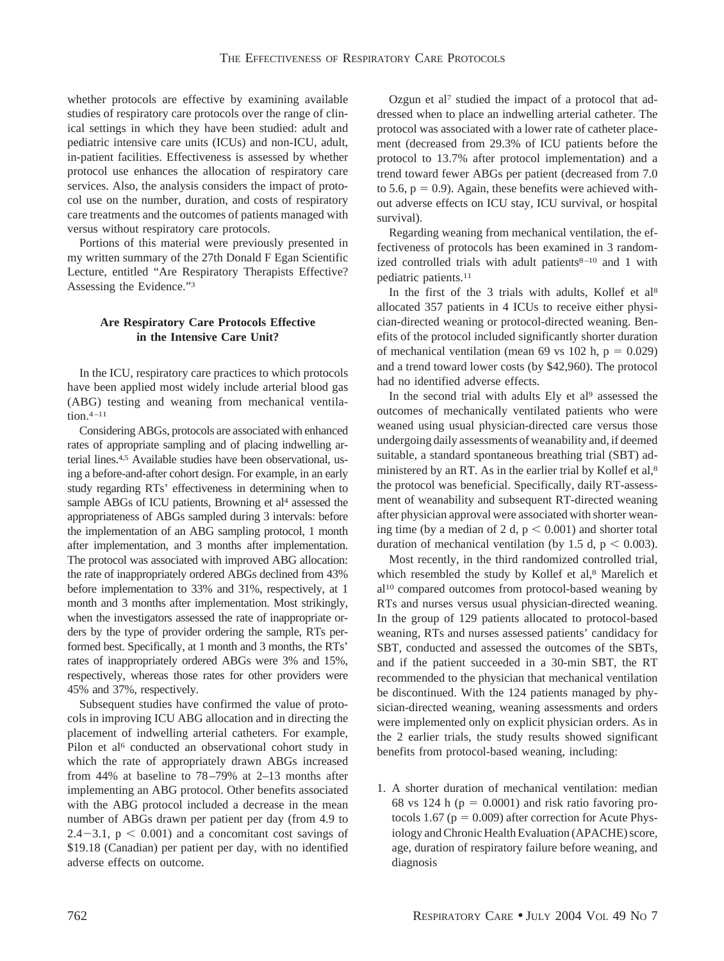whether protocols are effective by examining available studies of respiratory care protocols over the range of clinical settings in which they have been studied: adult and pediatric intensive care units (ICUs) and non-ICU, adult, in-patient facilities. Effectiveness is assessed by whether protocol use enhances the allocation of respiratory care services. Also, the analysis considers the impact of protocol use on the number, duration, and costs of respiratory care treatments and the outcomes of patients managed with versus without respiratory care protocols.

Portions of this material were previously presented in my written summary of the 27th Donald F Egan Scientific Lecture, entitled "Are Respiratory Therapists Effective? Assessing the Evidence."3

## **Are Respiratory Care Protocols Effective in the Intensive Care Unit?**

In the ICU, respiratory care practices to which protocols have been applied most widely include arterial blood gas (ABG) testing and weaning from mechanical ventilation.4–11

Considering ABGs, protocols are associated with enhanced rates of appropriate sampling and of placing indwelling arterial lines.4,5 Available studies have been observational, using a before-and-after cohort design. For example, in an early study regarding RTs' effectiveness in determining when to sample ABGs of ICU patients, Browning et al<sup>4</sup> assessed the appropriateness of ABGs sampled during 3 intervals: before the implementation of an ABG sampling protocol, 1 month after implementation, and 3 months after implementation. The protocol was associated with improved ABG allocation: the rate of inappropriately ordered ABGs declined from 43% before implementation to 33% and 31%, respectively, at 1 month and 3 months after implementation. Most strikingly, when the investigators assessed the rate of inappropriate orders by the type of provider ordering the sample, RTs performed best. Specifically, at 1 month and 3 months, the RTs' rates of inappropriately ordered ABGs were 3% and 15%, respectively, whereas those rates for other providers were 45% and 37%, respectively.

Subsequent studies have confirmed the value of protocols in improving ICU ABG allocation and in directing the placement of indwelling arterial catheters. For example, Pilon et al<sup>6</sup> conducted an observational cohort study in which the rate of appropriately drawn ABGs increased from 44% at baseline to 78–79% at 2–13 months after implementing an ABG protocol. Other benefits associated with the ABG protocol included a decrease in the mean number of ABGs drawn per patient per day (from 4.9 to  $2.4 - 3.1$ ,  $p < 0.001$ ) and a concomitant cost savings of \$19.18 (Canadian) per patient per day, with no identified adverse effects on outcome.

Ozgun et al7 studied the impact of a protocol that addressed when to place an indwelling arterial catheter. The protocol was associated with a lower rate of catheter placement (decreased from 29.3% of ICU patients before the protocol to 13.7% after protocol implementation) and a trend toward fewer ABGs per patient (decreased from 7.0 to 5.6,  $p = 0.9$ ). Again, these benefits were achieved without adverse effects on ICU stay, ICU survival, or hospital survival).

Regarding weaning from mechanical ventilation, the effectiveness of protocols has been examined in 3 randomized controlled trials with adult patients $8-10$  and 1 with pediatric patients.11

In the first of the 3 trials with adults, Kollef et al<sup>8</sup> allocated 357 patients in 4 ICUs to receive either physician-directed weaning or protocol-directed weaning. Benefits of the protocol included significantly shorter duration of mechanical ventilation (mean 69 vs 102 h,  $p = 0.029$ ) and a trend toward lower costs (by \$42,960). The protocol had no identified adverse effects.

In the second trial with adults Ely et al<sup>9</sup> assessed the outcomes of mechanically ventilated patients who were weaned using usual physician-directed care versus those undergoing daily assessments of weanability and, if deemed suitable, a standard spontaneous breathing trial (SBT) administered by an RT. As in the earlier trial by Kollef et al,<sup>8</sup> the protocol was beneficial. Specifically, daily RT-assessment of weanability and subsequent RT-directed weaning after physician approval were associated with shorter weaning time (by a median of 2 d,  $p < 0.001$ ) and shorter total duration of mechanical ventilation (by 1.5 d,  $p < 0.003$ ).

Most recently, in the third randomized controlled trial, which resembled the study by Kollef et al,<sup>8</sup> Marelich et al10 compared outcomes from protocol-based weaning by RTs and nurses versus usual physician-directed weaning. In the group of 129 patients allocated to protocol-based weaning, RTs and nurses assessed patients' candidacy for SBT, conducted and assessed the outcomes of the SBTs, and if the patient succeeded in a 30-min SBT, the RT recommended to the physician that mechanical ventilation be discontinued. With the 124 patients managed by physician-directed weaning, weaning assessments and orders were implemented only on explicit physician orders. As in the 2 earlier trials, the study results showed significant benefits from protocol-based weaning, including:

1. A shorter duration of mechanical ventilation: median 68 vs 124 h ( $p = 0.0001$ ) and risk ratio favoring protocols 1.67 ( $p = 0.009$ ) after correction for Acute Physiology and Chronic Health Evaluation (APACHE) score, age, duration of respiratory failure before weaning, and diagnosis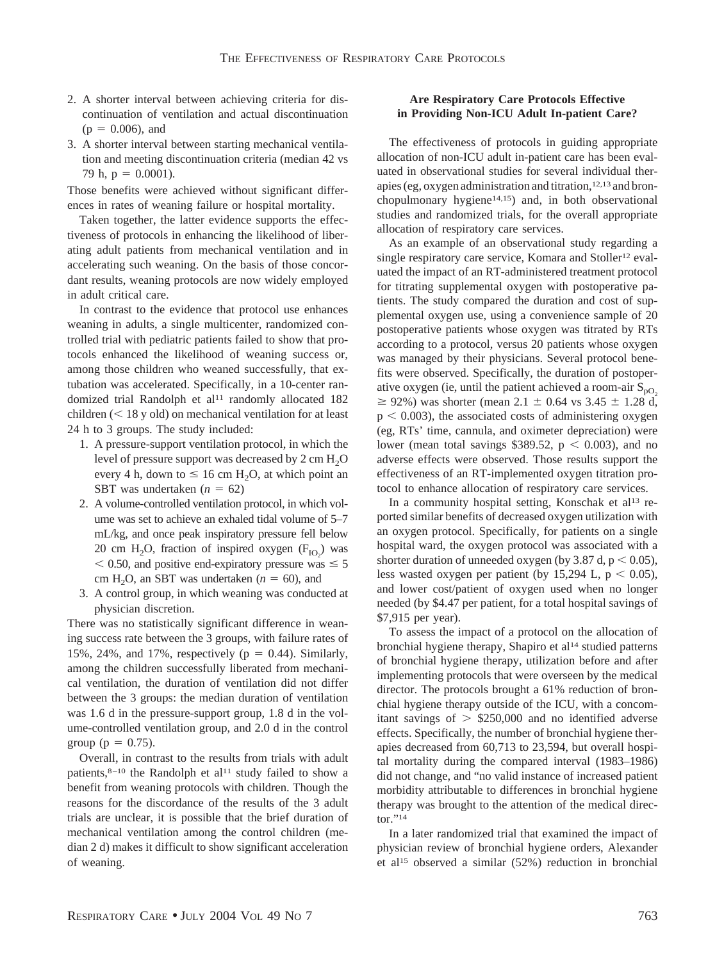- 2. A shorter interval between achieving criteria for discontinuation of ventilation and actual discontinuation  $(p = 0.006)$ , and
- 3. A shorter interval between starting mechanical ventilation and meeting discontinuation criteria (median 42 vs 79 h,  $p = 0.0001$ ).

Those benefits were achieved without significant differences in rates of weaning failure or hospital mortality.

Taken together, the latter evidence supports the effectiveness of protocols in enhancing the likelihood of liberating adult patients from mechanical ventilation and in accelerating such weaning. On the basis of those concordant results, weaning protocols are now widely employed in adult critical care.

In contrast to the evidence that protocol use enhances weaning in adults, a single multicenter, randomized controlled trial with pediatric patients failed to show that protocols enhanced the likelihood of weaning success or, among those children who weaned successfully, that extubation was accelerated. Specifically, in a 10-center randomized trial Randolph et al<sup>11</sup> randomly allocated 182 children  $(< 18$  y old) on mechanical ventilation for at least 24 h to 3 groups. The study included:

- 1. A pressure-support ventilation protocol, in which the level of pressure support was decreased by  $2 \text{ cm } H_2O$ every 4 h, down to  $\leq 16$  cm H<sub>2</sub>O, at which point an SBT was undertaken  $(n = 62)$
- 2. A volume-controlled ventilation protocol, in which volume was set to achieve an exhaled tidal volume of 5–7 mL/kg, and once peak inspiratory pressure fell below 20 cm  $H_2O$ , fraction of inspired oxygen  $(F_{IO_2})$  was  $<$  0.50, and positive end-expiratory pressure was  $\leq$  5 cm H<sub>2</sub>O, an SBT was undertaken ( $n = 60$ ), and
- 3. A control group, in which weaning was conducted at physician discretion.

There was no statistically significant difference in weaning success rate between the 3 groups, with failure rates of 15%, 24%, and 17%, respectively ( $p = 0.44$ ). Similarly, among the children successfully liberated from mechanical ventilation, the duration of ventilation did not differ between the 3 groups: the median duration of ventilation was 1.6 d in the pressure-support group, 1.8 d in the volume-controlled ventilation group, and 2.0 d in the control group ( $p = 0.75$ ).

Overall, in contrast to the results from trials with adult patients, $8-10$  the Randolph et al<sup>11</sup> study failed to show a benefit from weaning protocols with children. Though the reasons for the discordance of the results of the 3 adult trials are unclear, it is possible that the brief duration of mechanical ventilation among the control children (median 2 d) makes it difficult to show significant acceleration of weaning.

## **Are Respiratory Care Protocols Effective in Providing Non-ICU Adult In-patient Care?**

The effectiveness of protocols in guiding appropriate allocation of non-ICU adult in-patient care has been evaluated in observational studies for several individual therapies (eg, oxygen administration and titration,12,13 and bronchopulmonary hygiene<sup>14,15</sup>) and, in both observational studies and randomized trials, for the overall appropriate allocation of respiratory care services.

As an example of an observational study regarding a single respiratory care service, Komara and Stoller<sup>12</sup> evaluated the impact of an RT-administered treatment protocol for titrating supplemental oxygen with postoperative patients. The study compared the duration and cost of supplemental oxygen use, using a convenience sample of 20 postoperative patients whose oxygen was titrated by RTs according to a protocol, versus 20 patients whose oxygen was managed by their physicians. Several protocol benefits were observed. Specifically, the duration of postoperative oxygen (ie, until the patient achieved a room-air  $S_{pQ}$  $\geq$  92%) was shorter (mean 2.1  $\pm$  0.64 vs 3.45  $\pm$  1.28 d,  $p < 0.003$ ), the associated costs of administering oxygen (eg, RTs' time, cannula, and oximeter depreciation) were lower (mean total savings \$389.52,  $p < 0.003$ ), and no adverse effects were observed. Those results support the effectiveness of an RT-implemented oxygen titration protocol to enhance allocation of respiratory care services.

In a community hospital setting, Konschak et al<sup>13</sup> reported similar benefits of decreased oxygen utilization with an oxygen protocol. Specifically, for patients on a single hospital ward, the oxygen protocol was associated with a shorter duration of unneeded oxygen (by 3.87 d,  $p < 0.05$ ), less wasted oxygen per patient (by 15,294 L,  $p < 0.05$ ), and lower cost/patient of oxygen used when no longer needed (by \$4.47 per patient, for a total hospital savings of \$7,915 per year).

To assess the impact of a protocol on the allocation of bronchial hygiene therapy, Shapiro et al<sup>14</sup> studied patterns of bronchial hygiene therapy, utilization before and after implementing protocols that were overseen by the medical director. The protocols brought a 61% reduction of bronchial hygiene therapy outside of the ICU, with a concomitant savings of  $>$  \$250,000 and no identified adverse effects. Specifically, the number of bronchial hygiene therapies decreased from 60,713 to 23,594, but overall hospital mortality during the compared interval (1983–1986) did not change, and "no valid instance of increased patient morbidity attributable to differences in bronchial hygiene therapy was brought to the attention of the medical director."14

In a later randomized trial that examined the impact of physician review of bronchial hygiene orders, Alexander et al15 observed a similar (52%) reduction in bronchial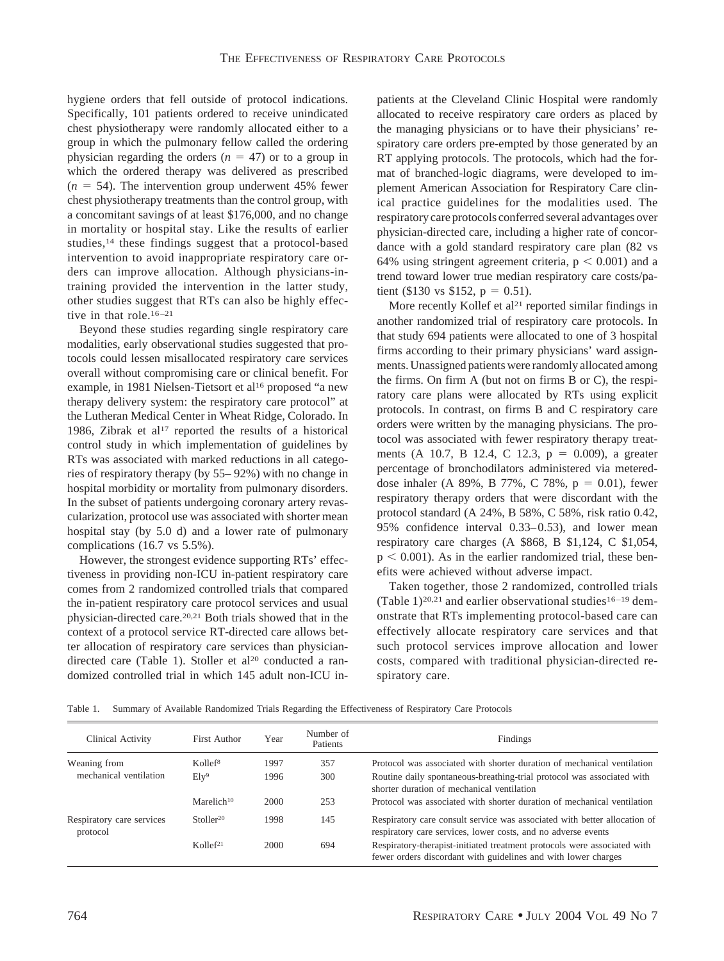hygiene orders that fell outside of protocol indications. Specifically, 101 patients ordered to receive unindicated chest physiotherapy were randomly allocated either to a group in which the pulmonary fellow called the ordering physician regarding the orders  $(n = 47)$  or to a group in which the ordered therapy was delivered as prescribed  $(n = 54)$ . The intervention group underwent 45% fewer chest physiotherapy treatments than the control group, with a concomitant savings of at least \$176,000, and no change in mortality or hospital stay. Like the results of earlier studies,14 these findings suggest that a protocol-based intervention to avoid inappropriate respiratory care orders can improve allocation. Although physicians-intraining provided the intervention in the latter study, other studies suggest that RTs can also be highly effective in that role.<sup>16-21</sup>

Beyond these studies regarding single respiratory care modalities, early observational studies suggested that protocols could lessen misallocated respiratory care services overall without compromising care or clinical benefit. For example, in 1981 Nielsen-Tietsort et al<sup>16</sup> proposed "a new therapy delivery system: the respiratory care protocol" at the Lutheran Medical Center in Wheat Ridge, Colorado. In 1986, Zibrak et al<sup>17</sup> reported the results of a historical control study in which implementation of guidelines by RTs was associated with marked reductions in all categories of respiratory therapy (by 55– 92%) with no change in hospital morbidity or mortality from pulmonary disorders. In the subset of patients undergoing coronary artery revascularization, protocol use was associated with shorter mean hospital stay (by 5.0 d) and a lower rate of pulmonary complications (16.7 vs 5.5%).

However, the strongest evidence supporting RTs' effectiveness in providing non-ICU in-patient respiratory care comes from 2 randomized controlled trials that compared the in-patient respiratory care protocol services and usual physician-directed care.20,21 Both trials showed that in the context of a protocol service RT-directed care allows better allocation of respiratory care services than physiciandirected care (Table 1). Stoller et al<sup>20</sup> conducted a randomized controlled trial in which 145 adult non-ICU inpatients at the Cleveland Clinic Hospital were randomly allocated to receive respiratory care orders as placed by the managing physicians or to have their physicians' respiratory care orders pre-empted by those generated by an RT applying protocols. The protocols, which had the format of branched-logic diagrams, were developed to implement American Association for Respiratory Care clinical practice guidelines for the modalities used. The respiratory care protocols conferred several advantages over physician-directed care, including a higher rate of concordance with a gold standard respiratory care plan (82 vs 64% using stringent agreement criteria,  $p < 0.001$ ) and a trend toward lower true median respiratory care costs/patient (\$130 vs \$152,  $p = 0.51$ ).

More recently Kollef et al<sup>21</sup> reported similar findings in another randomized trial of respiratory care protocols. In that study 694 patients were allocated to one of 3 hospital firms according to their primary physicians' ward assignments. Unassigned patients were randomly allocated among the firms. On firm A (but not on firms B or C), the respiratory care plans were allocated by RTs using explicit protocols. In contrast, on firms B and C respiratory care orders were written by the managing physicians. The protocol was associated with fewer respiratory therapy treatments (A 10.7, B 12.4, C 12.3,  $p = 0.009$ ), a greater percentage of bronchodilators administered via metereddose inhaler (A 89%, B 77%, C 78%,  $p = 0.01$ ), fewer respiratory therapy orders that were discordant with the protocol standard (A 24%, B 58%, C 58%, risk ratio 0.42, 95% confidence interval 0.33–0.53), and lower mean respiratory care charges (A \$868, B \$1,124, C \$1,054,  $p < 0.001$ ). As in the earlier randomized trial, these benefits were achieved without adverse impact.

Taken together, those 2 randomized, controlled trials (Table 1)<sup>20,21</sup> and earlier observational studies<sup>16-19</sup> demonstrate that RTs implementing protocol-based care can effectively allocate respiratory care services and that such protocol services improve allocation and lower costs, compared with traditional physician-directed respiratory care.

Table 1. Summary of Available Randomized Trials Regarding the Effectiveness of Respiratory Care Protocols

| Clinical Activity                     | First Author           | Year | Number of<br>Patients | Findings                                                                                                                                   |
|---------------------------------------|------------------------|------|-----------------------|--------------------------------------------------------------------------------------------------------------------------------------------|
| Weaning from                          | Kollef <sup>8</sup>    | 1997 | 357                   | Protocol was associated with shorter duration of mechanical ventilation                                                                    |
| mechanical ventilation                | $E1y^9$                | 1996 | 300                   | Routine daily spontaneous-breathing-trial protocol was associated with<br>shorter duration of mechanical ventilation                       |
|                                       | Marelich <sup>10</sup> | 2000 | 253                   | Protocol was associated with shorter duration of mechanical ventilation                                                                    |
| Respiratory care services<br>protocol | Stoller <sup>20</sup>  | 1998 | 145                   | Respiratory care consult service was associated with better allocation of<br>respiratory care services, lower costs, and no adverse events |
|                                       | Kollef <sup>21</sup>   | 2000 | 694                   | Respiratory-therapist-initiated treatment protocols were associated with<br>fewer orders discordant with guidelines and with lower charges |